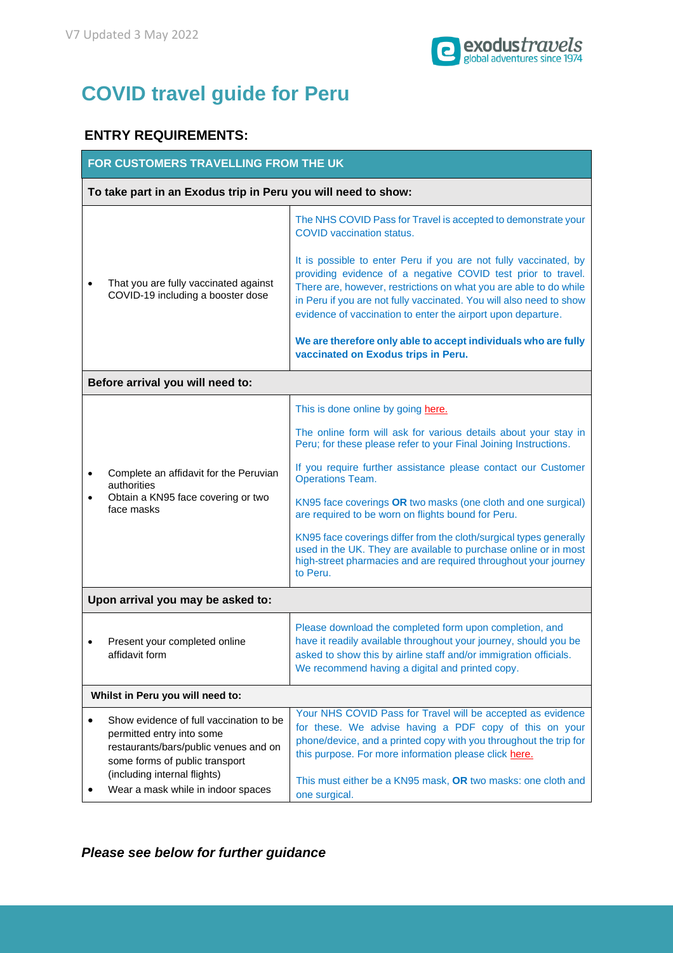

## **COVID travel guide for Peru**

## **ENTRY REQUIREMENTS:**

| FOR CUSTOMERS TRAVELLING FROM THE UK                          |                                                                                                                                                                                                                       |                                                                                                                                                                                                                                                                                                                                                                                                                                                                                                                                                                                                                       |  |
|---------------------------------------------------------------|-----------------------------------------------------------------------------------------------------------------------------------------------------------------------------------------------------------------------|-----------------------------------------------------------------------------------------------------------------------------------------------------------------------------------------------------------------------------------------------------------------------------------------------------------------------------------------------------------------------------------------------------------------------------------------------------------------------------------------------------------------------------------------------------------------------------------------------------------------------|--|
| To take part in an Exodus trip in Peru you will need to show: |                                                                                                                                                                                                                       |                                                                                                                                                                                                                                                                                                                                                                                                                                                                                                                                                                                                                       |  |
|                                                               | That you are fully vaccinated against<br>COVID-19 including a booster dose                                                                                                                                            | The NHS COVID Pass for Travel is accepted to demonstrate your<br><b>COVID</b> vaccination status.<br>It is possible to enter Peru if you are not fully vaccinated, by<br>providing evidence of a negative COVID test prior to travel.<br>There are, however, restrictions on what you are able to do while<br>in Peru if you are not fully vaccinated. You will also need to show<br>evidence of vaccination to enter the airport upon departure.<br>We are therefore only able to accept individuals who are fully<br>vaccinated on Exodus trips in Peru.                                                            |  |
| Before arrival you will need to:                              |                                                                                                                                                                                                                       |                                                                                                                                                                                                                                                                                                                                                                                                                                                                                                                                                                                                                       |  |
|                                                               | Complete an affidavit for the Peruvian<br>authorities<br>Obtain a KN95 face covering or two<br>face masks                                                                                                             | This is done online by going here.<br>The online form will ask for various details about your stay in<br>Peru; for these please refer to your Final Joining Instructions.<br>If you require further assistance please contact our Customer<br><b>Operations Team.</b><br>KN95 face coverings OR two masks (one cloth and one surgical)<br>are required to be worn on flights bound for Peru.<br>KN95 face coverings differ from the cloth/surgical types generally<br>used in the UK. They are available to purchase online or in most<br>high-street pharmacies and are required throughout your journey<br>to Peru. |  |
| Upon arrival you may be asked to:                             |                                                                                                                                                                                                                       |                                                                                                                                                                                                                                                                                                                                                                                                                                                                                                                                                                                                                       |  |
|                                                               | Present your completed online<br>affidavit form                                                                                                                                                                       | Please download the completed form upon completion, and<br>have it readily available throughout your journey, should you be<br>asked to show this by airline staff and/or immigration officials.<br>We recommend having a digital and printed copy.                                                                                                                                                                                                                                                                                                                                                                   |  |
| Whilst in Peru you will need to:                              |                                                                                                                                                                                                                       |                                                                                                                                                                                                                                                                                                                                                                                                                                                                                                                                                                                                                       |  |
|                                                               | Show evidence of full vaccination to be<br>permitted entry into some<br>restaurants/bars/public venues and on<br>some forms of public transport<br>(including internal flights)<br>Wear a mask while in indoor spaces | Your NHS COVID Pass for Travel will be accepted as evidence<br>for these. We advise having a PDF copy of this on your<br>phone/device, and a printed copy with you throughout the trip for<br>this purpose. For more information please click here.<br>This must either be a KN95 mask, OR two masks: one cloth and<br>one surgical.                                                                                                                                                                                                                                                                                  |  |

*Please see below for further guidance*